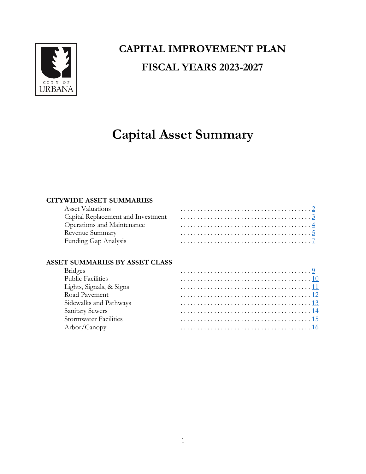

## **CAPITAL IMPROVEMENT PLAN FISCAL YEARS 2023-2027**

# **Capital Asset Summary**

## **CITYWIDE ASSET SUMMARIES**

| Asset Valuations           |  |
|----------------------------|--|
|                            |  |
| Operations and Maintenance |  |
| Revenue Summary            |  |
| Funding Gap Analysis       |  |

## **ASSET SUMMARIES BY ASSET CLASS**

| <b>Bridges</b>               |  |
|------------------------------|--|
| <b>Public Facilities</b>     |  |
| Lights, Signals, & Signs     |  |
| Road Pavement                |  |
| Sidewalks and Pathways       |  |
| Sanitary Sewers              |  |
| <b>Stormwater Facilities</b> |  |
| Arbor/Canopy                 |  |
|                              |  |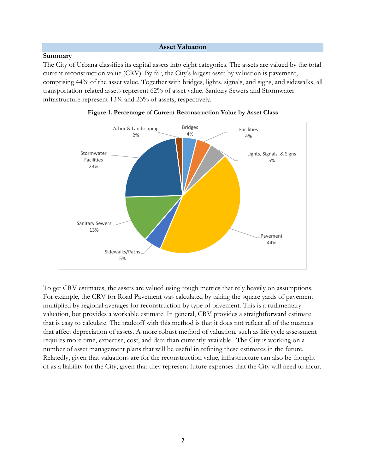#### **Asset Valuation**

#### <span id="page-1-0"></span>**Summary**

The City of Urbana classifies its capital assets into eight categories. The assets are valued by the total current reconstruction value (CRV). By far, the City's largest asset by valuation is pavement, comprising 44% of the asset value. Together with bridges, lights, signals, and signs, and sidewalks, all transportation-related assets represent 62% of asset value. Sanitary Sewers and Stormwater infrastructure represent 13% and 23% of assets, respectively.





To get CRV estimates, the assets are valued using rough metrics that rely heavily on assumptions. For example, the CRV for Road Pavement was calculated by taking the square yards of pavement multiplied by regional averages for reconstruction by type of pavement. This is a rudimentary valuation, but provides a workable estimate. In general, CRV provides a straightforward estimate that is easy to calculate. The tradeoff with this method is that it does not reflect all of the nuances that affect depreciation of assets. A more robust method of valuation, such as life cycle assessment requires more time, expertise, cost, and data than currently available. The City is working on a number of asset management plans that will be useful in refining these estimates in the future. Relatedly, given that valuations are for the reconstruction value, infrastructure can also be thought of as a liability for the City, given that they represent future expenses that the City will need to incur.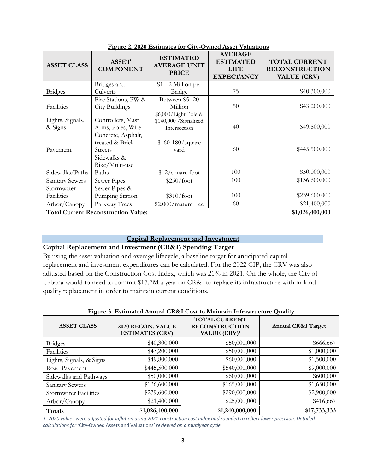| <b>ASSET CLASS</b>          | <b>ASSET</b><br><b>COMPONENT</b>                        | <u>1 retard as a boundary of the contract of the distribution</u><br><b>ESTIMATED</b><br><b>AVERAGE UNIT</b><br><b>PRICE</b> | <b>AVERAGE</b><br><b>ESTIMATED</b><br><b>LIFE</b><br><b>EXPECTANCY</b> | <b>TOTAL CURRENT</b><br><b>RECONSTRUCTION</b><br><b>VALUE (CRV)</b> |
|-----------------------------|---------------------------------------------------------|------------------------------------------------------------------------------------------------------------------------------|------------------------------------------------------------------------|---------------------------------------------------------------------|
|                             | Bridges and                                             | \$1 - 2 Million per                                                                                                          |                                                                        |                                                                     |
| <b>Bridges</b>              | Culverts                                                | Bridge                                                                                                                       | 75                                                                     | \$40,300,000                                                        |
|                             | Fire Stations, PW &                                     | Between \$5-20                                                                                                               |                                                                        |                                                                     |
| Facilities                  | City Buildings                                          | Million                                                                                                                      | 50                                                                     | \$43,200,000                                                        |
| Lights, Signals,<br>& Signs | Controllers, Mast<br>Arms, Poles, Wire                  | \$6,000/Light Pole &<br>\$140,000 / Signalized<br>Intersection                                                               | 40                                                                     | \$49,800,000                                                        |
| Pavement                    | Concrete, Asphalt,<br>treated & Brick<br><b>Streets</b> | \$160-180/square<br>vard                                                                                                     | 60                                                                     | \$445,500,000                                                       |
|                             | Sidewalks &<br>Bike/Multi-use                           |                                                                                                                              |                                                                        |                                                                     |
| Sidewalks/Paths             | Paths                                                   | \$12/square foot                                                                                                             | 100                                                                    | \$50,000,000                                                        |
| Sanitary Sewers             | Sewer Pipes                                             | \$250/foot                                                                                                                   | 100                                                                    | \$136,600,000                                                       |
| Stormwater                  | Sewer Pipes &                                           |                                                                                                                              |                                                                        |                                                                     |
| Facilities                  | Pumping Station                                         | \$310/foot                                                                                                                   | 100                                                                    | \$239,600,000                                                       |
| Arbor/Canopy                | Parkway Trees                                           | \$2,000/mature tree                                                                                                          | 60                                                                     | \$21,400,000                                                        |
|                             | <b>Total Current Reconstruction Value:</b>              |                                                                                                                              |                                                                        | \$1,026,400,000                                                     |

**Figure 2. 2020 Estimates for City-Owned Asset Valuations**

## **Capital Replacement and Investment**

## <span id="page-2-0"></span>**Capital Replacement and Investment (CR&I) Spending Target**

By using the asset valuation and average lifecycle, a baseline target for anticipated capital replacement and investment expenditures can be calculated. For the 2022 CIP, the CRV was also adjusted based on the Construction Cost Index, which was 21% in 2021. On the whole, the City of Urbana would to need to commit \$17.7M a year on CR&I to replace its infrastructure with in-kind quality replacement in order to maintain current conditions.

|  |  | Figure 3. Estimated Annual CR&I Cost to Maintain Infrastructure Quality |  |
|--|--|-------------------------------------------------------------------------|--|
|  |  |                                                                         |  |

| <b>ASSET CLASS</b>           | 2020 RECON. VALUE<br><b>ESTIMATES (CRV)</b> | <b>TOTAL CURRENT</b><br><b>RECONSTRUCTION</b><br>VALUE (CRV) <sup>1</sup> | <b>Annual CR&amp;I Target</b> |
|------------------------------|---------------------------------------------|---------------------------------------------------------------------------|-------------------------------|
| <b>Bridges</b>               | \$40,300,000                                | \$50,000,000                                                              | \$666,667                     |
| Facilities                   | \$43,200,000                                | \$50,000,000                                                              | \$1,000,000                   |
| Lights, Signals, & Signs     | \$49,800,000                                | \$60,000,000                                                              | \$1,500,000                   |
| Road Pavement                | \$445,500,000                               | \$540,000,000                                                             | \$9,000,000                   |
| Sidewalks and Pathways       | \$50,000,000                                | \$60,000,000                                                              | \$600,000                     |
| Sanitary Sewers              | \$136,600,000                               | \$165,000,000                                                             | \$1,650,000                   |
| <b>Stormwater Facilities</b> | \$239,600,000                               | \$290,000,000                                                             | \$2,900,000                   |
| Arbor/Canopy                 | \$21,400,000                                | \$25,000,000                                                              | \$416,667                     |
| Totals                       | \$1,026,400,000                             | \$1,240,000,000                                                           | \$17,733,333                  |

*1. 2020 values were adjusted for inflation using 2021-construction cost index and rounded to reflect lower precision. Detailed calculations for '*City-Owned Assets and Valuations*' reviewed on a multiyear cycle.*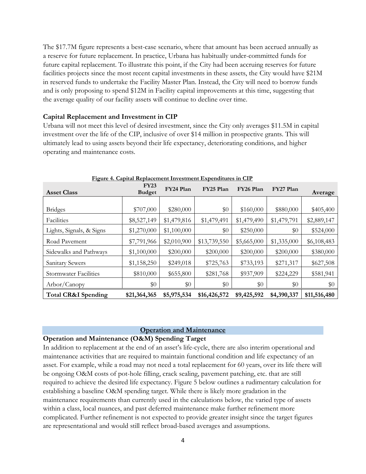The \$17.7M figure represents a best-case scenario, where that amount has been accrued annually as a reserve for future replacement. In practice, Urbana has habitually under-committed funds for future capital replacement. To illustrate this point, if the City had been accruing reserves for future facilities projects since the most recent capital investments in these assets, the City would have \$21M in reserved funds to undertake the Facility Master Plan. Instead, the City will need to borrow funds and is only proposing to spend \$12M in Facility capital improvements at this time, suggesting that the average quality of our facility assets will continue to decline over time.

#### **Capital Replacement and Investment in CIP**

Urbana will not meet this level of desired investment, since the City only averages \$11.5M in capital investment over the life of the CIP, inclusive of over \$14 million in prospective grants. This will ultimately lead to using assets beyond their life expectancy, deteriorating conditions, and higher operating and maintenance costs.

| <b>Asset Class</b>             | <b>FY23</b><br><b>Budget</b> | FY24 Plan   | FY25 Plan    | FY26 Plan   | FY27 Plan   | Average      |
|--------------------------------|------------------------------|-------------|--------------|-------------|-------------|--------------|
|                                |                              |             |              |             |             |              |
| <b>Bridges</b>                 | \$707,000                    | \$280,000   | \$0          | \$160,000   | \$880,000   | \$405,400    |
| Facilities                     | \$8,527,149                  | \$1,479,816 | \$1,479,491  | \$1,479,490 | \$1,479,791 | \$2,889,147  |
| Lights, Signals, & Signs       | \$1,270,000                  | \$1,100,000 | \$0          | \$250,000   | \$0         | \$524,000    |
| Road Pavement                  | \$7,791,966                  | \$2,010,900 | \$13,739,550 | \$5,665,000 | \$1,335,000 | \$6,108,483  |
| Sidewalks and Pathways         | \$1,100,000                  | \$200,000   | \$200,000    | \$200,000   | \$200,000   | \$380,000    |
| Sanitary Sewers                | \$1,158,250                  | \$249,018   | \$725,763    | \$733,193   | \$271,317   | \$627,508    |
| <b>Stormwater Facilities</b>   | \$810,000                    | \$655,800   | \$281,768    | \$937,909   | \$224,229   | \$581,941    |
| Arbor/Canopy                   | \$0                          | \$0         | \$0          | \$0         | \$0         | \$0          |
| <b>Total CR&amp;I Spending</b> | \$21,364,365                 | \$5,975,534 | \$16,426,572 | \$9,425,592 | \$4,390,337 | \$11,516,480 |

**Figure 4. Capital Replacement Investment Expenditures in CIP**

#### **Operation and Maintenance**

#### <span id="page-3-0"></span>**Operation and Maintenance (O&M) Spending Target**

In addition to replacement at the end of an asset's life-cycle, there are also interim operational and maintenance activities that are required to maintain functional condition and life expectancy of an asset. For example, while a road may not need a total replacement for 60 years, over its life there will be ongoing O&M costs of pot-hole filling, crack sealing, pavement patching, etc. that are still required to achieve the desired life expectancy. Figure 5 below outlines a rudimentary calculation for establishing a baseline O&M spending target. While there is likely more gradation in the maintenance requirements than currently used in the calculations below, the varied type of assets within a class, local nuances, and past deferred maintenance make further refinement more complicated. Further refinement is not expected to provide greater insight since the target figures are representational and would still reflect broad-based averages and assumptions.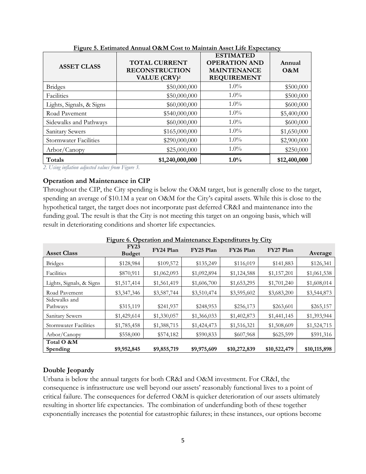| <b>ASSET CLASS</b>           | <b>TOTAL CURRENT</b><br><b>RECONSTRUCTION</b><br>VALUE (CRV) <sup>2</sup> | <b>ESTIMATED</b><br><b>OPERATION AND</b><br><b>MAINTENANCE</b><br><b>REQUIREMENT</b> | Annual<br>O&M |
|------------------------------|---------------------------------------------------------------------------|--------------------------------------------------------------------------------------|---------------|
| <b>Bridges</b>               | \$50,000,000                                                              | $1.0\%$                                                                              | \$500,000     |
| Facilities                   | \$50,000,000                                                              | $1.0\%$                                                                              | \$500,000     |
| Lights, Signals, & Signs     | \$60,000,000                                                              | $1.0\%$                                                                              | \$600,000     |
| Road Pavement                | \$540,000,000                                                             | $1.0\%$                                                                              | \$5,400,000   |
| Sidewalks and Pathways       | \$60,000,000                                                              | $1.0\%$                                                                              | \$600,000     |
| Sanitary Sewers              | \$165,000,000                                                             | $1.0\%$                                                                              | \$1,650,000   |
| <b>Stormwater Facilities</b> | \$290,000,000                                                             | $1.0\%$                                                                              | \$2,900,000   |
| Arbor/Canopy                 | \$25,000,000                                                              | $1.0\%$                                                                              | \$250,000     |
| Totals                       | \$1,240,000,000                                                           | $1.0\%$                                                                              | \$12,400,000  |

**Figure 5. Estimated Annual O&M Cost to Maintain Asset Life Expectancy**

*2. Using inflation adjusted values from Figure 3.*

## **Operation and Maintenance in CIP**

Throughout the CIP, the City spending is below the O&M target, but is generally close to the target, spending an average of \$10.1M a year on O&M for the City's capital assets. While this is close to the hypothetical target, the target does not incorporate past deferred CR&I and maintenance into the funding goal. The result is that the City is not meeting this target on an ongoing basis, which will result in deteriorating conditions and shorter life expectancies.

| <b>Asset Class</b>           | FY23<br><b>Budget</b> | FY24 Plan   | FY25 Plan   | FY26 Plan    | FY27 Plan    | Average      |
|------------------------------|-----------------------|-------------|-------------|--------------|--------------|--------------|
| <b>Bridges</b>               | \$128,984             | \$109,572   | \$135,249   | \$116,019    | \$141,883    | \$126,341    |
| Facilities                   | \$870,911             | \$1,062,093 | \$1,092,894 | \$1,124,588  | \$1,157,201  | \$1,061,538  |
| Lights, Signals, & Signs     | \$1,517,414           | \$1,561,419 | \$1,606,700 | \$1,653,295  | \$1,701,240  | \$1,608,014  |
| Road Pavement                | \$3,347,346           | \$3,587,744 | \$3,510,474 | \$3,595,602  | \$3,683,200  | \$3,544,873  |
| Sidewalks and<br>Pathways    | \$315,119             | \$241,937   | \$248,953   | \$256,173    | \$263,601    | \$265,157    |
| Sanitary Sewers              | \$1,429,614           | \$1,330,057 | \$1,366,033 | \$1,402,873  | \$1,441,145  | \$1,393,944  |
| <b>Stormwater Facilities</b> | \$1,785,458           | \$1,388,715 | \$1,424,473 | \$1,516,321  | \$1,508,609  | \$1,524,715  |
| Arbor/Canopy                 | \$558,000             | \$574,182   | \$590,833   | \$607,968    | \$625,599    | \$591,316    |
| Total O &M<br>Spending       | \$9,952,845           | \$9,855,719 | \$9,975,609 | \$10,272,839 | \$10,522,479 | \$10,115,898 |

**Figure 6. Operation and Maintenance Expenditures by City**

## **Double Jeopardy**

Urbana is below the annual targets for both CR&I and O&M investment. For CR&I, the consequence is infrastructure use well beyond our assets' reasonably functional lives to a point of critical failure. The consequences for deferred O&M is quicker deterioration of our assets ultimately resulting in shorter life expectancies. The combination of underfunding both of these together exponentially increases the potential for catastrophic failures; in these instances, our options become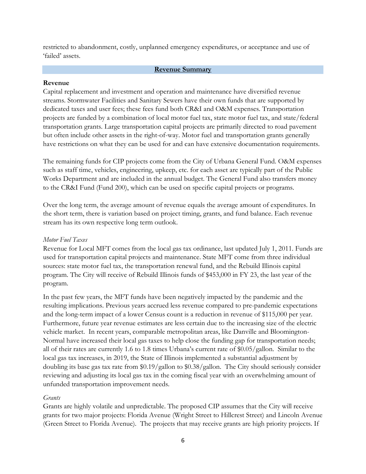restricted to abandonment, costly, unplanned emergency expenditures, or acceptance and use of 'failed' assets.

#### **Revenue Summary**

#### <span id="page-5-0"></span>**Revenue**

Capital replacement and investment and operation and maintenance have diversified revenue streams. Stormwater Facilities and Sanitary Sewers have their own funds that are supported by dedicated taxes and user fees; these fees fund both CR&I and O&M expenses. Transportation projects are funded by a combination of local motor fuel tax, state motor fuel tax, and state/federal transportation grants. Large transportation capital projects are primarily directed to road pavement but often include other assets in the right-of-way. Motor fuel and transportation grants generally have restrictions on what they can be used for and can have extensive documentation requirements.

The remaining funds for CIP projects come from the City of Urbana General Fund. O&M expenses such as staff time, vehicles, engineering, upkeep, etc. for each asset are typically part of the Public Works Department and are included in the annual budget. The General Fund also transfers money to the CR&I Fund (Fund 200), which can be used on specific capital projects or programs.

Over the long term, the average amount of revenue equals the average amount of expenditures. In the short term, there is variation based on project timing, grants, and fund balance. Each revenue stream has its own respective long term outlook.

## *Motor Fuel Taxes*

Revenue for Local MFT comes from the local gas tax ordinance, last updated July 1, 2011. Funds are used for transportation capital projects and maintenance. State MFT come from three individual sources: state motor fuel tax, the transportation renewal fund, and the Rebuild Illinois capital program. The City will receive of Rebuild Illinois funds of \$453,000 in FY 23, the last year of the program.

In the past few years, the MFT funds have been negatively impacted by the pandemic and the resulting implications. Previous years accrued less revenue compared to pre-pandemic expectations and the long-term impact of a lower Census count is a reduction in revenue of \$115,000 per year. Furthermore, future year revenue estimates are less certain due to the increasing size of the electric vehicle market. In recent years, comparable metropolitan areas, like Danville and Bloomington-Normal have increased their local gas taxes to help close the funding gap for transportation needs; all of their rates are currently 1.6 to 1.8 times Urbana's current rate of \$0.05/gallon. Similar to the local gas tax increases, in 2019, the State of Illinois implemented a substantial adjustment by doubling its base gas tax rate from \$0.19/gallon to \$0.38/gallon. The City should seriously consider reviewing and adjusting its local gas tax in the coming fiscal year with an overwhelming amount of unfunded transportation improvement needs.

## *Grants*

Grants are highly volatile and unpredictable. The proposed CIP assumes that the City will receive grants for two major projects: Florida Avenue (Wright Street to Hillcrest Street) and Lincoln Avenue (Green Street to Florida Avenue). The projects that may receive grants are high priority projects. If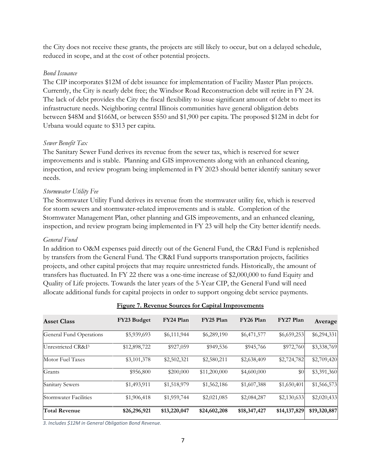the City does not receive these grants, the projects are still likely to occur, but on a delayed schedule, reduced in scope, and at the cost of other potential projects.

#### *Bond Issuance*

The CIP incorporates \$12M of debt issuance for implementation of Facility Master Plan projects. Currently, the City is nearly debt free; the Windsor Road Reconstruction debt will retire in FY 24. The lack of debt provides the City the fiscal flexibility to issue significant amount of debt to meet its infrastructure needs. Neighboring central Illinois communities have general obligation debts between \$48M and \$166M, or between \$550 and \$1,900 per capita. The proposed \$12M in debt for Urbana would equate to \$313 per capita.

## *Sewer Benefit Tax*

The Sanitary Sewer Fund derives its revenue from the sewer tax, which is reserved for sewer improvements and is stable. Planning and GIS improvements along with an enhanced cleaning, inspection, and review program being implemented in FY 2023 should better identify sanitary sewer needs.

## *Stormwater Utility Fee*

The Stormwater Utility Fund derives its revenue from the stormwater utility fee, which is reserved for storm sewers and stormwater-related improvements and is stable. Completion of the Stormwater Management Plan, other planning and GIS improvements, and an enhanced cleaning, inspection, and review program being implemented in FY 23 will help the City better identify needs.

#### *General Fund*

In addition to O&M expenses paid directly out of the General Fund, the CR&I Fund is replenished by transfers from the General Fund. The CR&I Fund supports transportation projects, facilities projects, and other capital projects that may require unrestricted funds. Historically, the amount of transfers has fluctuated. In FY 22 there was a one-time increase of \$2,000,000 to fund Equity and Quality of Life projects. Towards the later years of the 5-Year CIP, the General Fund will need allocate additional funds for capital projects in order to support ongoing debt service payments.

| <b>Asset Class</b>             | FY23 Budget  | FY24 Plan    | FY25 Plan    | FY26 Plan    | FY27 Plan    | Average      |
|--------------------------------|--------------|--------------|--------------|--------------|--------------|--------------|
| General Fund Operations        | \$5,939,693  | \$6,111,944  | \$6,289,190  | \$6,471,577  | \$6,659,253  | \$6,294,331  |
| Unrestricted CR&I <sup>3</sup> | \$12,898,722 | \$927,059    | \$949,536    | \$945,766    | \$972,760    | \$3,338,769  |
| Motor Fuel Taxes               | \$3,101,378  | \$2,502,321  | \$2,580,211  | \$2,638,409  | \$2,724,782  | \$2,709,420  |
| Grants                         | \$956,800    | \$200,000    | \$11,200,000 | \$4,600,000  | \$0          | \$3,391,360  |
| Sanitary Sewers                | \$1,493,911  | \$1,518,979  | \$1,562,186  | \$1,607,388  | \$1,650,401  | \$1,566,573  |
| Stormwater Facilities          | \$1,906,418  | \$1,959,744  | \$2,021,085  | \$2,084,287  | \$2,130,633  | \$2,020,433  |
| <b>Total Revenue</b>           | \$26,296,921 | \$13,220,047 | \$24,602,208 | \$18,347,427 | \$14,137,829 | \$19,320,887 |

#### **Figure 7. Revenue Sources for Capital Improvements**

*3. Includes \$12M in General Obligation Bond Revenue.*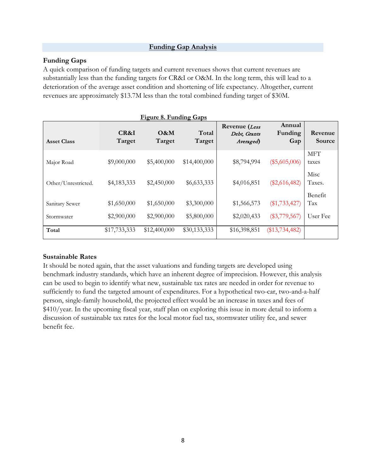## **Funding Gap Analysis**

## <span id="page-7-0"></span>**Funding Gaps**

A quick comparison of funding targets and current revenues shows that current revenues are substantially less than the funding targets for CR&I or O&M. In the long term, this will lead to a deterioration of the average asset condition and shortening of life expectancy. Altogether, current revenues are approximately \$13.7M less than the total combined funding target of \$30M.

| Figure 8. Funding Gaps |                |               |                 |                                            |                          |                     |
|------------------------|----------------|---------------|-----------------|--------------------------------------------|--------------------------|---------------------|
| <b>Asset Class</b>     | CR&I<br>Target | O&M<br>Target | Total<br>Target | Revenue (Less<br>Debt, Grants<br>Averaged) | Annual<br>Funding<br>Gap | Revenue<br>Source   |
| Major Road             | \$9,000,000    | \$5,400,000   | \$14,400,000    | \$8,794,994                                | $(\$5,605,006)$          | <b>MFT</b><br>taxes |
| Other/Unrestricted.    | \$4,183,333    | \$2,450,000   | \$6,633,333     | \$4,016,851                                | $(\$2,616,482)$          | Misc<br>Taxes.      |
| Sanitary Sewer         | \$1,650,000    | \$1,650,000   | \$3,300,000     | \$1,566,573                                | $(\$1,733,427)$          | Benefit<br>Tax      |
| Stormwater             | \$2,900,000    | \$2,900,000   | \$5,800,000     | \$2,020,433                                | $(\$3,779,567)$          | User Fee            |
| Total                  | \$17,733,333   | \$12,400,000  | \$30,133,333    | \$16,398,851                               | $(\$13,734,482)$         |                     |

## **Sustainable Rates**

It should be noted again, that the asset valuations and funding targets are developed using benchmark industry standards, which have an inherent degree of imprecision. However, this analysis can be used to begin to identify what new, sustainable tax rates are needed in order for revenue to sufficiently to fund the targeted amount of expenditures. For a hypothetical two-car, two-and-a-half person, single-family household, the projected effect would be an increase in taxes and fees of \$410/year. In the upcoming fiscal year, staff plan on exploring this issue in more detail to inform a discussion of sustainable tax rates for the local motor fuel tax, stormwater utility fee, and sewer benefit fee.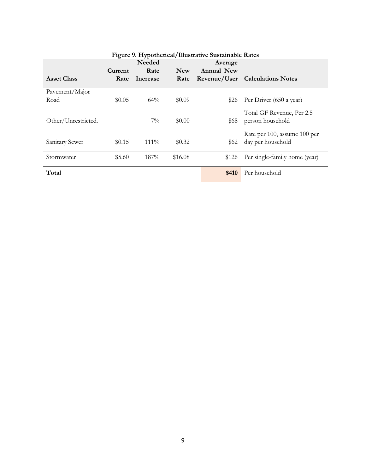|                     |         | <b>Needed</b> |            | Average    |                                 |
|---------------------|---------|---------------|------------|------------|---------------------------------|
|                     | Current | Rate          | <b>New</b> | Annual New |                                 |
| <b>Asset Class</b>  | Rate    | Increase      | Rate       |            | Revenue/User Calculations Notes |
| Pavement/Major      |         |               |            |            |                                 |
| Road                | \$0.05  | $64\%$        | \$0.09     | \$26       | Per Driver (650 a year)         |
|                     |         |               |            |            | Total GF Revenue, Per 2.5       |
| Other/Unrestricted. |         | $7\%$         | \$0.00     | \$68       | person household                |
|                     |         |               |            |            | Rate per 100, assume 100 per    |
| Sanitary Sewer      | \$0.15  | $111\%$       | \$0.32     | \$62       | day per household               |
| Stormwater          | \$5.60  | 187%          | \$16.08    | \$126      | Per single-family home (year)   |
|                     |         |               |            |            |                                 |
| Total               |         |               |            | \$410      | Per household                   |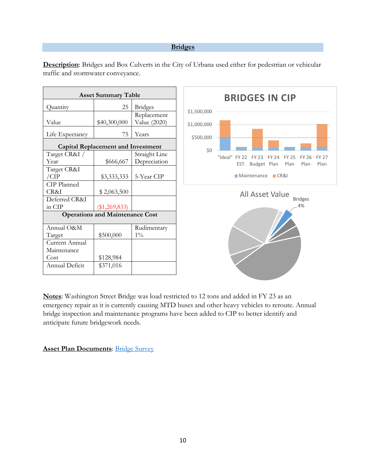#### **Bridges**

| <b>Asset Summary Table</b>                |                                        |                |  |  |  |  |
|-------------------------------------------|----------------------------------------|----------------|--|--|--|--|
| Quantity                                  | 25                                     | <b>Bridges</b> |  |  |  |  |
|                                           |                                        | Replacement    |  |  |  |  |
| Value                                     | \$40,300,000                           | Value (2020)   |  |  |  |  |
| Life Expectancy                           | 75                                     | Years          |  |  |  |  |
| <b>Capital Replacement and Investment</b> |                                        |                |  |  |  |  |
| Target CR&I /                             |                                        | Straight Line  |  |  |  |  |
| Year                                      | \$666,667                              | Depreciation   |  |  |  |  |
| Target CR&I                               |                                        |                |  |  |  |  |
| /CIP                                      | \$3,333,333                            | 5-Year CIP     |  |  |  |  |
| CIP Planned                               |                                        |                |  |  |  |  |
| CR&I                                      | \$2,063,500                            |                |  |  |  |  |
| Deferred CR&I                             |                                        |                |  |  |  |  |
| in CIP                                    | $(\$1,269,833)$                        |                |  |  |  |  |
|                                           | <b>Operations and Maintenance Cost</b> |                |  |  |  |  |
| Annual O&M                                |                                        | Rudimentary    |  |  |  |  |
| Target                                    | \$500,000                              | $1\%$          |  |  |  |  |
| Current Annual                            |                                        |                |  |  |  |  |
| Maintenance                               |                                        |                |  |  |  |  |
| Cost                                      | \$128,984                              |                |  |  |  |  |
| Annual Deficit                            | \$371,016                              |                |  |  |  |  |
|                                           |                                        |                |  |  |  |  |

<span id="page-9-0"></span>**Description**: Bridges and Box Culverts in the City of Urbana used either for pedestrian or vehicular traffic and stormwater conveyance.



**BRIDGES IN CIP**



**Notes**: Washington Street Bridge was load restricted to 12 tons and added in FY 23 as an emergency repair as it is currently causing MTD buses and other heavy vehicles to reroute. Annual bridge inspection and maintenance programs have been added to CIP to better identify and anticipate future bridgework needs.

## **Asset Plan Documents**: [Bridge Survey](https://urbanaillinois.us/sites/default/files/attachments/2020%20BRIDGE%20REPORT.pdf)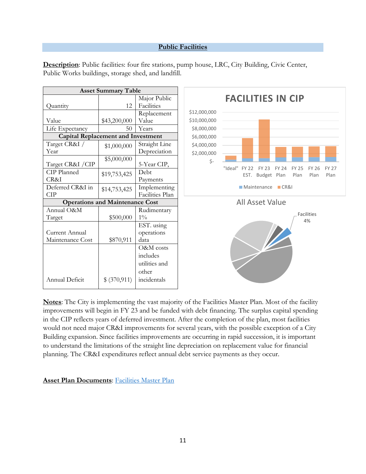## **Public Facilities**

| <b>Asset Summary Table</b>                |                                        |                 |              |                                                               |
|-------------------------------------------|----------------------------------------|-----------------|--------------|---------------------------------------------------------------|
|                                           |                                        | Major Public    |              | <b>FACILITIES IN CIP</b>                                      |
| Quantity                                  | 12                                     | Facilities      |              |                                                               |
|                                           |                                        | Replacement     | \$12,000,000 |                                                               |
| Value                                     | \$43,200,000                           | Value           | \$10,000,000 |                                                               |
| Life Expectancy                           | 50                                     | Years           | \$8,000,000  |                                                               |
| <b>Capital Replacement and Investment</b> |                                        |                 | \$6,000,000  |                                                               |
| Target CR&I /                             | \$1,000,000                            | Straight Line   | \$4,000,000  |                                                               |
| Year                                      |                                        | Depreciation    | \$2,000,000  |                                                               |
|                                           | \$5,000,000                            |                 | $\zeta$ -    |                                                               |
| Target CR&I / CIP                         |                                        | 5-Year CIP,     |              | "Ideal" FY 22<br><b>FY 23</b><br><b>FY 24</b><br><b>FY 25</b> |
| CIP Planned                               | \$19,753,425                           | Debt            |              | EST. Budget Plan<br>Plan                                      |
| CR&I                                      |                                        | Payments        |              |                                                               |
| Deferred CR&I in                          | \$14,753,425                           | Implementing    |              | Maintenance CR&I                                              |
| <b>CIP</b>                                |                                        | Facilities Plan |              |                                                               |
|                                           | <b>Operations and Maintenance Cost</b> |                 |              | <b>All Asset Value</b>                                        |
| Annual O&M                                |                                        | Rudimentary     |              | Fac                                                           |
| Target                                    | \$500,000                              | $1\%$           |              |                                                               |
|                                           |                                        | EST. using      |              |                                                               |
| Current Annual                            |                                        | operations      |              |                                                               |
| Maintenance Cost                          | \$870,911                              | data            |              |                                                               |
|                                           |                                        | O&M costs       |              |                                                               |
|                                           |                                        | includes        |              |                                                               |
|                                           |                                        | utilities and   |              |                                                               |
|                                           |                                        | other           |              |                                                               |
| Annual Deficit                            | \$ (370,911)                           | incidentals     |              |                                                               |
|                                           |                                        |                 |              |                                                               |

Facilities 4%

FY 25 FY 26 FY 27

Plan

Plan

<span id="page-10-0"></span>**Description**: Public facilities: four fire stations, pump house, LRC, City Building, Civic Center, Public Works buildings, storage shed, and landfill.

**Notes**: The City is implementing the vast majority of the Facilities Master Plan. Most of the facility improvements will begin in FY 23 and be funded with debt financing. The surplus capital spending in the CIP reflects years of deferred investment. After the completion of the plan, most facilities would not need major CR&I improvements for several years, with the possible exception of a City Building expansion. Since facilities improvements are occurring in rapid succession, it is important to understand the limitations of the straight line depreciation on replacement value for financial planning. The CR&I expenditures reflect annual debt service payments as they occur.

**Asset Plan Documents**: [Facilities Master Plan](https://www.urbanaillinois.us/sites/default/files/attachments/2.%20Final%20Recommendations%20with%20Executive%20Summary%20-%2007.07.2019.pdf)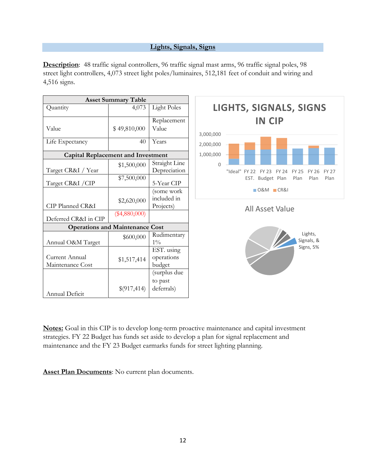#### **Lights, Signals, Signs**

<span id="page-11-0"></span>**Description**: 48 traffic signal controllers, 96 traffic signal mast arms, 96 traffic signal poles, 98 street light controllers, 4,073 street light poles/luminaires, 512,181 feet of conduit and wiring and 4,516 signs.

| <b>Asset Summary Table</b>                |                 |                               |  |  |
|-------------------------------------------|-----------------|-------------------------------|--|--|
| Quantity                                  | 4,073           | <b>Light Poles</b>            |  |  |
|                                           |                 | Replacement                   |  |  |
| Value                                     | \$49,810,000    | Value                         |  |  |
| Life Expectancy                           | 40              | Years                         |  |  |
| <b>Capital Replacement and Investment</b> |                 |                               |  |  |
| Target CR&I / Year                        | \$1,500,000     | Straight Line<br>Depreciation |  |  |
| Target CR&I / CIP                         | \$7,500,000     | 5-Year CIP                    |  |  |
|                                           |                 | (some work                    |  |  |
|                                           | \$2,620,000     | included in                   |  |  |
| CIP Planned CR&I                          |                 | Projects)                     |  |  |
| Deferred CR&I in CIP                      | $(\$4,880,000)$ |                               |  |  |
| <b>Operations and Maintenance Cost</b>    |                 |                               |  |  |
| Annual O&M Target                         | \$600,000       | Rudimentary<br>$1\%$          |  |  |
|                                           |                 | EST. using                    |  |  |
| Current Annual                            | \$1,517,414     | operations                    |  |  |
| Maintenance Cost                          |                 | budget                        |  |  |
|                                           |                 | (surplus due                  |  |  |
|                                           |                 | to past                       |  |  |
| Annual Deficit                            | \$(917,414)     | deferrals)                    |  |  |



**Notes:** Goal in this CIP is to develop long-term proactive maintenance and capital investment strategies. FY 22 Budget has funds set aside to develop a plan for signal replacement and maintenance and the FY 23 Budget earmarks funds for street lighting planning.

**Asset Plan Documents**: No current plan documents.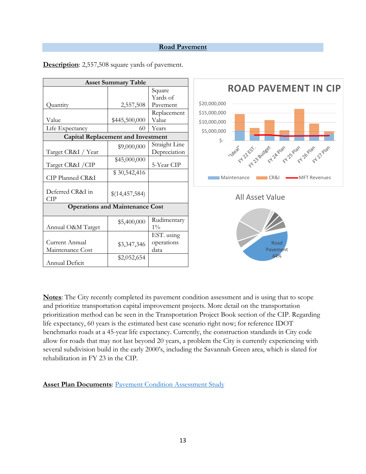#### **Road Pavement**

| <b>Asset Summary Table</b>                |                |               |                                                         |
|-------------------------------------------|----------------|---------------|---------------------------------------------------------|
|                                           |                | Square        | <b>ROAD PAVEMENT IN CIP</b>                             |
|                                           |                | Yards of      |                                                         |
| Quantity                                  | 2,557,508      | Pavement      | \$20,000,000                                            |
|                                           |                | Replacement   | \$15,000,000                                            |
| Value                                     | \$445,500,000  | Value         | \$10,000,000                                            |
| Life Expectancy                           | 60             | Years         | \$5,000,000                                             |
| <b>Capital Replacement and Investment</b> |                |               | \$-                                                     |
|                                           | \$9,000,000    | Straight Line |                                                         |
| Target CR&I / Year                        |                | Depreciation  | ····deat 22 5 - as deed of 2 proc 5 proc 5 proc 12 proc |
| Target CR&I / CIP                         | \$45,000,000   | 5-Year CIP    |                                                         |
| CIP Planned CR&I                          | \$30,542,416   |               | <b>Maintenance</b><br>CR&I<br>MFT Revenues              |
| Deferred CR&I in<br><b>CIP</b>            | \$(14,457,584) |               | <b>All Asset Value</b>                                  |
| <b>Operations and Maintenance Cost</b>    |                |               |                                                         |
|                                           | \$5,400,000    | Rudimentary   |                                                         |
| Annual O&M Target                         |                | $1\%$         |                                                         |
|                                           |                | EST. using    |                                                         |
| Current Annual                            | \$3,347,346    | operations    | Road                                                    |
| Maintenance Cost                          |                | data          | Pavement                                                |
| Annual Deficit                            | \$2,052,654    |               | 44%                                                     |

<span id="page-12-0"></span>**Description**: 2,557,508 square yards of pavement.

**Notes**: The City recently completed its pavement condition assessment and is using that to scope and prioritize transportation capital improvement projects. More detail on the transportation prioritization method can be seen in the Transportation Project Book section of the CIP. Regarding life expectancy, 60 years is the estimated best case scenario right now; for reference IDOT benchmarks roads at a 45-year life expectancy. Currently, the construction standards in City code allow for roads that may not last beyond 20 years, a problem the City is currently experiencing with several subdivision build in the early 2000's, including the Savannah Green area, which is slated for rehabilitation in FY 23 in the CIP.

**Asset Plan Documents: [Pavement Condition Assessment Study](https://apps.appliedpavement.com/hosting/urbana_2019/)**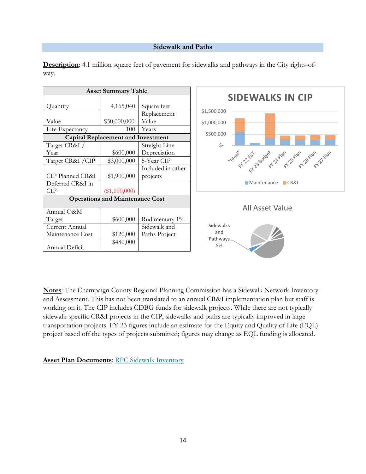#### **Sidewalk and Paths**

| <b>Asset Summary Table</b>                |                     |                               |                                                                     |
|-------------------------------------------|---------------------|-------------------------------|---------------------------------------------------------------------|
| Quantity                                  | 4,165,040           | Square feet                   | <b>SIDEWALKS IN CIP</b>                                             |
| Value<br>Life Expectancy                  | \$50,000,000<br>100 | Replacement<br>Value<br>Years | \$1,500,000<br>\$1,000,000                                          |
| <b>Capital Replacement and Investment</b> |                     |                               | \$500,000                                                           |
| Target CR&I /<br>Year                     | \$600,000           | Straight Line<br>Depreciation | $\zeta$ -                                                           |
| Target CR&I / CIP                         | \$3,000,000         | 5-Year CIP                    | "18eat 21.25 - 30.08eat 2 A Palac 31.2019 - 21.2019 - 21.21.21.2019 |
| CIP Planned CR&I                          | \$1,900,000         | Included in other<br>projects |                                                                     |
| Deferred CR&I in<br><b>CIP</b>            | $(\$1,100,000)$     |                               | <b>Maintenance</b><br>CR81                                          |
| <b>Operations and Maintenance Cost</b>    |                     |                               |                                                                     |
| Annual O&M                                |                     |                               | <b>All Asset Value</b>                                              |
| Target                                    | \$600,000           | Rudimentary 1%                |                                                                     |
| Current Annual                            |                     | Sidewalk and                  | Sidewalks                                                           |
| Maintenance Cost                          | \$120,000           | Paths Project                 | and                                                                 |
| Annual Deficit                            | \$480,000           |                               | Pathways_<br>5%                                                     |

<span id="page-13-0"></span>**Description**: 4.1 million square feet of pavement for sidewalks and pathways in the City rights-ofway.

**Notes**: The Champaign County Regional Planning Commission has a Sidewalk Network Inventory and Assessment. This has not been translated to an annual CR&I implementation plan but staff is working on it. The CIP includes CDBG funds for sidewalk projects. While there are not typically sidewalk specific CR&I projects in the CIP, sidewalks and paths are typically improved in large transportation projects. FY 23 figures include an estimate for the Equity and Quality of Life (EQL) project based off the types of projects submitted; figures may change as EQL funding is allocated.

**Asset Plan Documents: [RPC Sidewalk Inventory](https://ccrpc.org/news/2016/sidewalk-network-inventory-and-assessment-approved/)**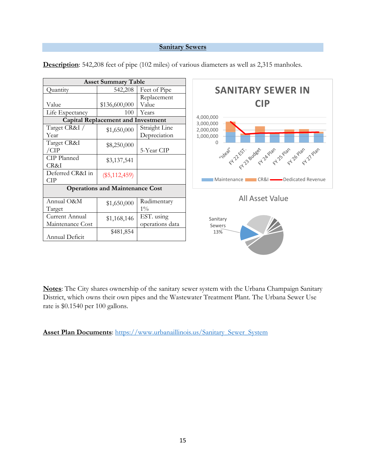## **Sanitary Sewers**

| <b>Asset Summary Table</b>                |                 |                 |                                                    |
|-------------------------------------------|-----------------|-----------------|----------------------------------------------------|
| Quantity                                  | 542,208         | Feet of Pipe    | <b>SANITARY SEWER IN</b>                           |
|                                           |                 | Replacement     |                                                    |
| Value                                     | \$136,600,000   | Value           | <b>CIP</b>                                         |
| Life Expectancy                           | 100             | Years           |                                                    |
| <b>Capital Replacement and Investment</b> |                 |                 | 4,000,000<br>3,000,000                             |
| Target CR&I /                             | \$1,650,000     | Straight Line   | 2,000,000                                          |
| Year                                      |                 | Depreciation    | 1,000,000                                          |
| Target CR&I                               | \$8,250,000     |                 | $\Omega$                                           |
| /CIP                                      |                 | 5-Year CIP      |                                                    |
| CIP Planned                               | \$3,137,541     |                 | ····deat 22 5 - avdeet a proc 25 avan point 1 proc |
| CR&I                                      |                 |                 |                                                    |
| Deferred CR&I in                          | $(\$5,112,459)$ |                 |                                                    |
| <b>CIP</b>                                |                 |                 | <b>CR&amp;I</b> Dedicated Revenue<br>Maintenance I |
| <b>Operations and Maintenance Cost</b>    |                 |                 |                                                    |
| Annual O&M                                |                 | Rudimentary     | <b>All Asset Value</b>                             |
| Target                                    | \$1,650,000     | $1\%$           |                                                    |
| Current Annual                            |                 | EST. using      |                                                    |
| Maintenance Cost                          | \$1,168,146     | operations data | Sanitary                                           |
|                                           |                 |                 | Sewers                                             |
| Annual Deficit                            | \$481,854       |                 | 13%                                                |
|                                           |                 |                 |                                                    |

<span id="page-14-0"></span>**Description**: 542,208 feet of pipe (102 miles) of various diameters as well as 2,315 manholes.

**Notes**: The City shares ownership of the sanitary sewer system with the Urbana Champaign Sanitary District, which owns their own pipes and the Wastewater Treatment Plant. The Urbana Sewer Use rate is \$0.1540 per 100 gallons.

**Asset Plan Documents**: [https://www.urbanaillinois.us/Sanitary\\_Sewer\\_System](https://www.urbanaillinois.us/Sanitary_Sewer_System)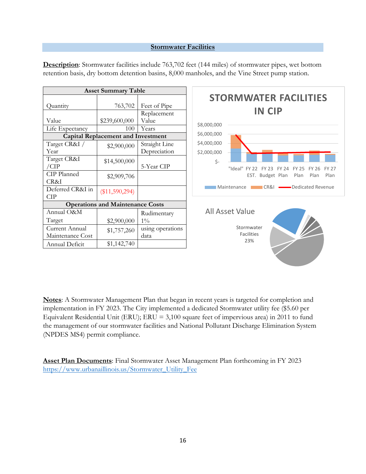#### **Stormwater Facilities**

| <b>Asset Summary Table</b>              |                                           |                  |  |  |
|-----------------------------------------|-------------------------------------------|------------------|--|--|
|                                         |                                           |                  |  |  |
| Quantity                                | 763,702                                   | Feet of Pipe     |  |  |
|                                         |                                           | Replacement      |  |  |
| Value                                   | \$239,600,000                             | Value            |  |  |
| Life Expectancy                         | 100                                       | Years            |  |  |
|                                         | <b>Capital Replacement and Investment</b> |                  |  |  |
| Target CR&I /                           | \$2,900,000                               | Straight Line    |  |  |
| Year                                    |                                           | Depreciation     |  |  |
| Target CR&I                             | \$14,500,000                              |                  |  |  |
| /CIP                                    |                                           | 5-Year CIP       |  |  |
| CIP Planned                             | \$2,909,706                               |                  |  |  |
| CR&I                                    |                                           |                  |  |  |
| Deferred CR&I in                        | $(\$11,590,294)$                          |                  |  |  |
| CIP                                     |                                           |                  |  |  |
| <b>Operations and Maintenance Costs</b> |                                           |                  |  |  |
| Annual O&M                              |                                           | Rudimentary      |  |  |
| Target                                  | \$2,900,000                               | $1\%$            |  |  |
| Current Annual                          | \$1,757,260                               | using operations |  |  |
| Maintenance Cost                        |                                           | data             |  |  |
| Annual Deficit                          | \$1,142,740                               |                  |  |  |

**Description**: Stormwater facilities include 763,702 feet (144 miles) of stormwater pipes, wet bottom retention basis, dry bottom detention basins, 8,000 manholes, and the Vine Street pump station.



**Notes**: A Stormwater Management Plan that began in recent years is targeted for completion and implementation in FY 2023. The City implemented a dedicated Stormwater utility fee (\$5.60 per Equivalent Residential Unit (ERU); ERU = 3,100 square feet of impervious area) in 2011 to fund the management of our stormwater facilities and National Pollutant Discharge Elimination System (NPDES MS4) permit compliance.

**Asset Plan Documents**: Final Stormwater Asset Management Plan forthcoming in FY 2023 [https://www.urbanaillinois.us/Stormwater\\_Utility\\_Fee](https://www.urbanaillinois.us/Stormwater_Utility_Fee)